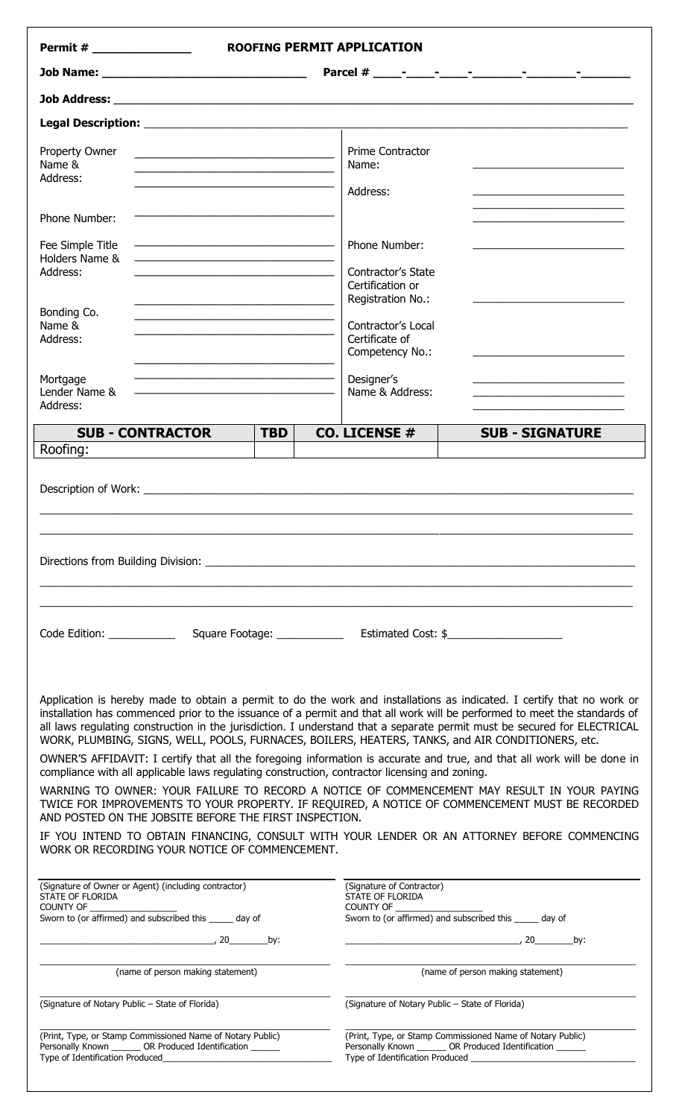| Permit # ________________                       |                                                                                                                                                                                             |            | <b>ROOFING PERMIT APPLICATION</b>                                                          |                                                                                                                                                                                                                                                                                                                                                                                                                                                                                      |
|-------------------------------------------------|---------------------------------------------------------------------------------------------------------------------------------------------------------------------------------------------|------------|--------------------------------------------------------------------------------------------|--------------------------------------------------------------------------------------------------------------------------------------------------------------------------------------------------------------------------------------------------------------------------------------------------------------------------------------------------------------------------------------------------------------------------------------------------------------------------------------|
|                                                 |                                                                                                                                                                                             |            |                                                                                            | <b>Parcel # <math>     -</math></b>                                                                                                                                                                                                                                                                                                                                                                                                                                                  |
|                                                 |                                                                                                                                                                                             |            |                                                                                            |                                                                                                                                                                                                                                                                                                                                                                                                                                                                                      |
|                                                 |                                                                                                                                                                                             |            |                                                                                            |                                                                                                                                                                                                                                                                                                                                                                                                                                                                                      |
| Property Owner<br>Name &<br>Address:            | <u> 1989 - Johann Barbara, martxa alemaniar a</u>                                                                                                                                           |            | Prime Contractor<br>Name:<br>Address:                                                      |                                                                                                                                                                                                                                                                                                                                                                                                                                                                                      |
| Phone Number:                                   |                                                                                                                                                                                             |            |                                                                                            |                                                                                                                                                                                                                                                                                                                                                                                                                                                                                      |
| Fee Simple Title<br>Holders Name &<br>Address:  | <u> 1989 - Johann Harry Harry Harry Harry Harry Harry Harry Harry Harry Harry Harry Harry Harry Harry Harry Harry</u>                                                                       |            | Phone Number:<br>Contractor's State<br>Certification or                                    |                                                                                                                                                                                                                                                                                                                                                                                                                                                                                      |
| Bonding Co.<br>Name &<br>Address:<br>Mortgage   | <u> 1980 - Johann Harry Harry Harry Harry Harry Harry Harry Harry Harry Harry Harry Harry Harry Harry Harry Harry</u><br><u> 1989 - Johann John Stein, mars an deutscher Stein († 1958)</u> |            | Registration No.:<br>Contractor's Local<br>Certificate of<br>Competency No.:<br>Designer's | <u> 1980 - Johann John Stein, mars an deus Amerikaansk kommunist (</u>                                                                                                                                                                                                                                                                                                                                                                                                               |
| Lender Name &<br>Address:                       |                                                                                                                                                                                             |            | Name & Address:                                                                            | <u> 1989 - Johann Barbara, martin amerikan basar dan berasal dalam basa dalam basar dalam basar dalam basar dala</u>                                                                                                                                                                                                                                                                                                                                                                 |
| Roofing:                                        | <b>SUB - CONTRACTOR</b>                                                                                                                                                                     | <b>TBD</b> | <b>CO. LICENSE #</b>                                                                       | <b>SUB - SIGNATURE</b>                                                                                                                                                                                                                                                                                                                                                                                                                                                               |
|                                                 |                                                                                                                                                                                             |            |                                                                                            |                                                                                                                                                                                                                                                                                                                                                                                                                                                                                      |
|                                                 |                                                                                                                                                                                             |            |                                                                                            |                                                                                                                                                                                                                                                                                                                                                                                                                                                                                      |
|                                                 |                                                                                                                                                                                             |            |                                                                                            | Application is hereby made to obtain a permit to do the work and installations as indicated. I certify that no work or<br>installation has commenced prior to the issuance of a permit and that all work will be performed to meet the standards of<br>all laws regulating construction in the jurisdiction. I understand that a separate permit must be secured for ELECTRICAL<br>WORK, PLUMBING, SIGNS, WELL, POOLS, FURNACES, BOILERS, HEATERS, TANKS, and AIR CONDITIONERS, etc. |
|                                                 | compliance with all applicable laws regulating construction, contractor licensing and zoning.                                                                                               |            |                                                                                            | OWNER'S AFFIDAVIT: I certify that all the foregoing information is accurate and true, and that all work will be done in                                                                                                                                                                                                                                                                                                                                                              |
|                                                 | AND POSTED ON THE JOBSITE BEFORE THE FIRST INSPECTION.                                                                                                                                      |            |                                                                                            | WARNING TO OWNER: YOUR FAILURE TO RECORD A NOTICE OF COMMENCEMENT MAY RESULT IN YOUR PAYING<br>TWICE FOR IMPROVEMENTS TO YOUR PROPERTY. IF REQUIRED, A NOTICE OF COMMENCEMENT MUST BE RECORDED                                                                                                                                                                                                                                                                                       |
|                                                 | WORK OR RECORDING YOUR NOTICE OF COMMENCEMENT.                                                                                                                                              |            |                                                                                            | IF YOU INTEND TO OBTAIN FINANCING, CONSULT WITH YOUR LENDER OR AN ATTORNEY BEFORE COMMENCING                                                                                                                                                                                                                                                                                                                                                                                         |
| STATE OF FLORIDA<br>COUNTY OF                   | (Signature of Owner or Agent) (including contractor)<br>Sworn to (or affirmed) and subscribed this ______ day of<br>$, 20$ by:                                                              |            | (Signature of Contractor)<br>STATE OF FLORIDA<br>COUNTY OF                                 | Sworn to (or affirmed) and subscribed this ______ day of<br>$\sim$ 20 by:                                                                                                                                                                                                                                                                                                                                                                                                            |
|                                                 | (name of person making statement)                                                                                                                                                           |            |                                                                                            | (name of person making statement)                                                                                                                                                                                                                                                                                                                                                                                                                                                    |
| (Signature of Notary Public - State of Florida) |                                                                                                                                                                                             |            | (Signature of Notary Public - State of Florida)                                            |                                                                                                                                                                                                                                                                                                                                                                                                                                                                                      |
| Type of Identification Produced                 | (Print, Type, or Stamp Commissioned Name of Notary Public)<br>Personally Known ________ OR Produced Identification ______                                                                   |            | Type of Identification Produced                                                            | (Print, Type, or Stamp Commissioned Name of Notary Public)<br>Personally Known ________ OR Produced Identification ______                                                                                                                                                                                                                                                                                                                                                            |